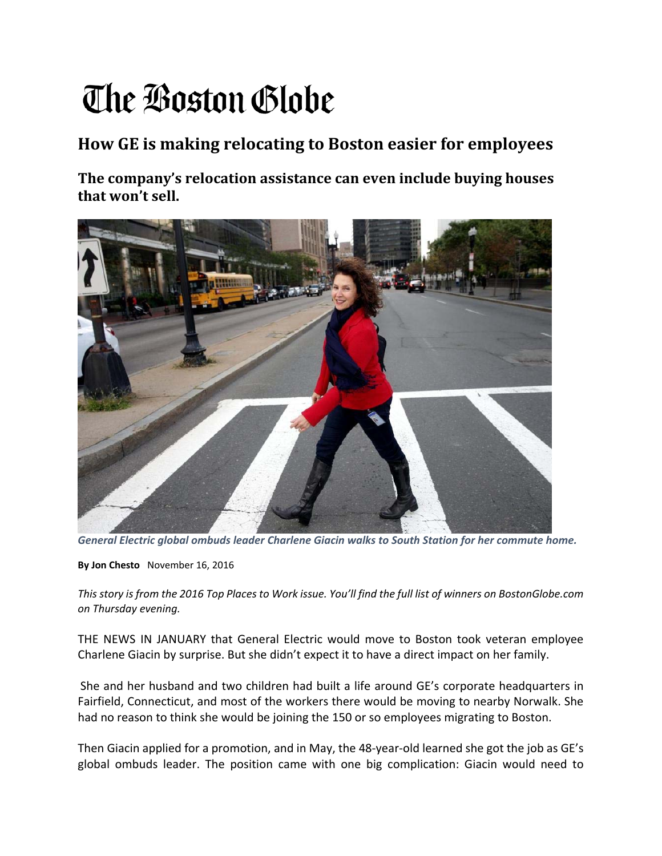## The Boston Globe

## **How GE is making relocating to Boston easier for employees**

**The company's relocation assistance can even include buying houses that won't sell.**



*General Electric global ombuds leader Charlene Giacin walks to South Station for her commute home.*

**By Jon Chesto** November 16, 2016

This story is from the 2016 Top Places to Work issue. You'll find the full list of winners on BostonGlobe.com *on Thursday evening.*

THE NEWS IN JANUARY that General Electric would move to Boston took veteran employee Charlene Giacin by surprise. But she didn't expect it to have a direct impact on her family.

She and her husband and two children had built a life around GE's corporate headquarters in Fairfield, Connecticut, and most of the workers there would be moving to nearby Norwalk. She had no reason to think she would be joining the 150 or so employees migrating to Boston.

Then Giacin applied for a promotion, and in May, the 48‐year‐old learned she got the job as GE's global ombuds leader. The position came with one big complication: Giacin would need to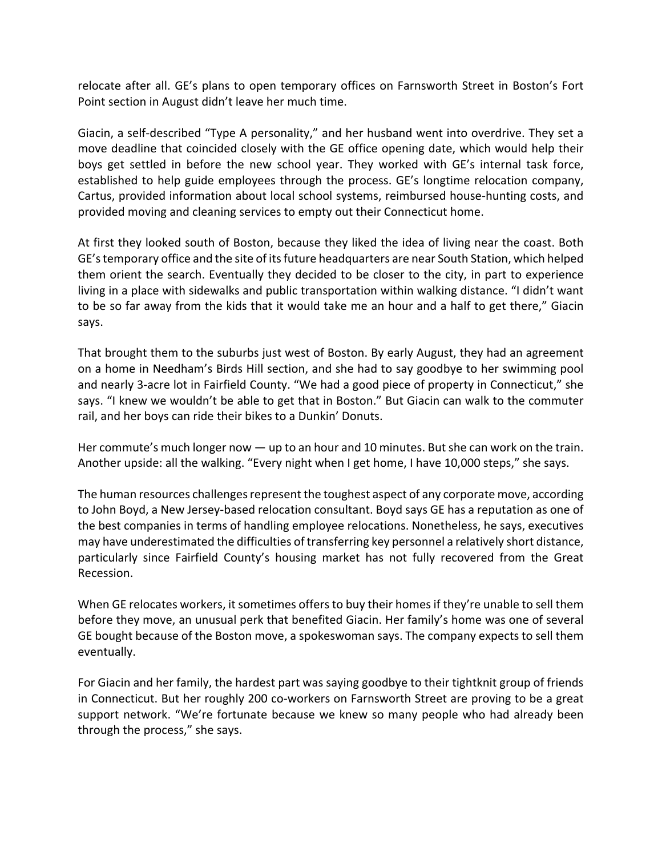relocate after all. GE's plans to open temporary offices on Farnsworth Street in Boston's Fort Point section in August didn't leave her much time.

Giacin, a self-described "Type A personality," and her husband went into overdrive. They set a move deadline that coincided closely with the GE office opening date, which would help their boys get settled in before the new school year. They worked with GE's internal task force, established to help guide employees through the process. GE's longtime relocation company, Cartus, provided information about local school systems, reimbursed house‐hunting costs, and provided moving and cleaning services to empty out their Connecticut home.

At first they looked south of Boston, because they liked the idea of living near the coast. Both GE'stemporary office and the site of itsfuture headquarters are near South Station, which helped them orient the search. Eventually they decided to be closer to the city, in part to experience living in a place with sidewalks and public transportation within walking distance. "I didn't want to be so far away from the kids that it would take me an hour and a half to get there," Giacin says.

That brought them to the suburbs just west of Boston. By early August, they had an agreement on a home in Needham's Birds Hill section, and she had to say goodbye to her swimming pool and nearly 3‐acre lot in Fairfield County. "We had a good piece of property in Connecticut," she says. "I knew we wouldn't be able to get that in Boston." But Giacin can walk to the commuter rail, and her boys can ride their bikes to a Dunkin' Donuts.

Her commute's much longer now — up to an hour and 10 minutes. But she can work on the train. Another upside: all the walking. "Every night when I get home, I have 10,000 steps," she says.

The human resources challenges represent the toughest aspect of any corporate move, according to John Boyd, a New Jersey‐based relocation consultant. Boyd says GE has a reputation as one of the best companies in terms of handling employee relocations. Nonetheless, he says, executives may have underestimated the difficulties of transferring key personnel a relatively short distance, particularly since Fairfield County's housing market has not fully recovered from the Great Recession.

When GE relocates workers, it sometimes offers to buy their homes if they're unable to sell them before they move, an unusual perk that benefited Giacin. Her family's home was one of several GE bought because of the Boston move, a spokeswoman says. The company expects to sell them eventually.

For Giacin and her family, the hardest part was saying goodbye to their tightknit group of friends in Connecticut. But her roughly 200 co-workers on Farnsworth Street are proving to be a great support network. "We're fortunate because we knew so many people who had already been through the process," she says.